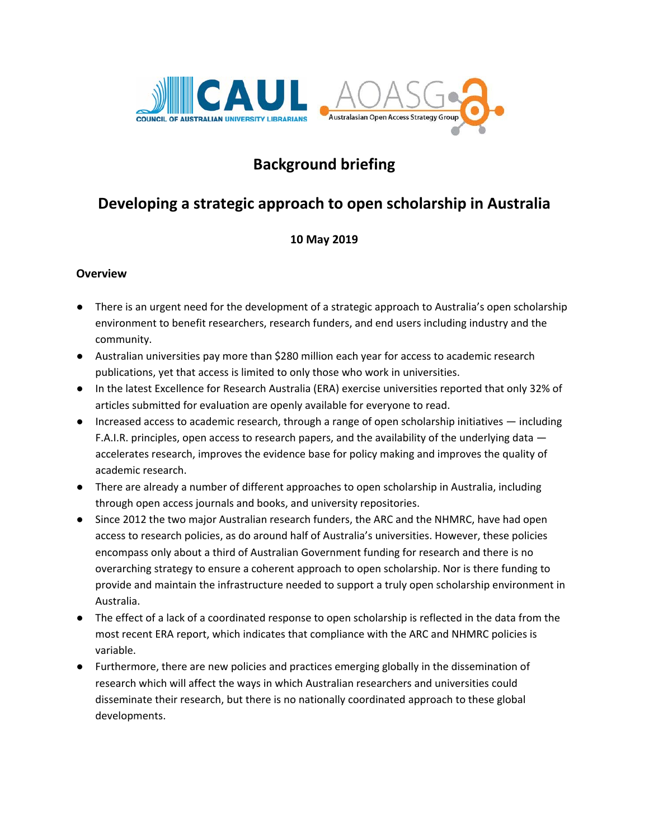

# **Background briefing**

# **Developing a strategic approach to open scholarship in Australia**

### **10 May 2019**

### **Overview**

- There is an urgent need for the development of a strategic approach to Australia's open scholarship environment to benefit researchers, research funders, and end users including industry and the community.
- Australian universities pay more than \$280 million each year for access to academic research publications, yet that access is limited to only those who work in universities.
- In the latest Excellence for Research Australia (ERA) exercise universities reported that only 32% of articles submitted for evaluation are openly available for everyone to read.
- Increased access to academic research, through a range of open scholarship initiatives including F.A.I.R. principles, open access to research papers, and the availability of the underlying data accelerates research, improves the evidence base for policy making and improves the quality of academic research.
- There are already a number of different approaches to open scholarship in Australia, including through open access journals and books, and university repositories.
- Since 2012 the two major Australian research funders, the ARC and the NHMRC, have had open access to research policies, as do around half of Australia's universities. However, these policies encompass only about a third of Australian Government funding for research and there is no overarching strategy to ensure a coherent approach to open scholarship. Nor is there funding to provide and maintain the infrastructure needed to support a truly open scholarship environment in Australia.
- The effect of a lack of a coordinated response to open scholarship is reflected in the data from the most recent ERA report, which indicates that compliance with the ARC and NHMRC policies is variable.
- Furthermore, there are new policies and practices emerging globally in the dissemination of research which will affect the ways in which Australian researchers and universities could disseminate their research, but there is no nationally coordinated approach to these global developments.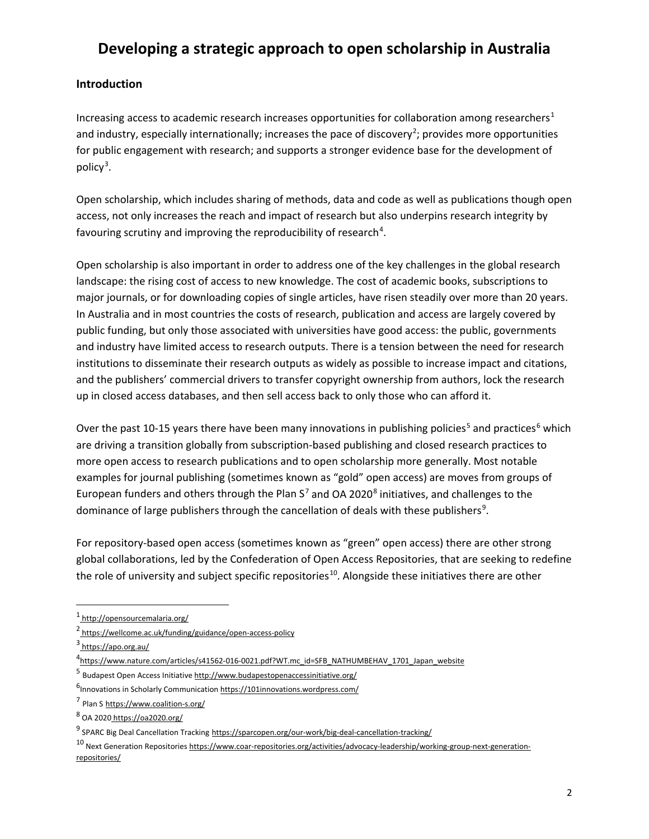### **Introduction**

Increasing access to academic research increases opportunities for collaboration among researchers<sup>[1](#page-1-0)</sup> and industry, especially internationally; increases the pace of discovery<sup>[2](#page-1-1)</sup>; provides more opportunities for public engagement with research; and supports a stronger evidence base for the development of policy<sup>[3](#page-1-2)</sup>.

Open scholarship, which includes sharing of methods, data and code as well as publications though open access, not only increases the reach and impact of research but also underpins research integrity by favouring scrutiny and improving the reproducibility of research<sup>[4](#page-1-3)</sup>.

Open scholarship is also important in order to address one of the key challenges in the global research landscape: the rising cost of access to new knowledge. The cost of academic books, subscriptions to major journals, or for downloading copies of single articles, have risen steadily over more than 20 years. In Australia and in most countries the costs of research, publication and access are largely covered by public funding, but only those associated with universities have good access: the public, governments and industry have limited access to research outputs. There is a tension between the need for research institutions to disseminate their research outputs as widely as possible to increase impact and citations, and the publishers' commercial drivers to transfer copyright ownership from authors, lock the research up in closed access databases, and then sell access back to only those who can afford it.

Over the past 10-1[5](#page-1-4) years there have been many innovations in publishing policies<sup>5</sup> and practices<sup>[6](#page-1-5)</sup> which are driving a transition globally from subscription-based publishing and closed research practices to more open access to research publications and to open scholarship more generally. Most notable examples for journal publishing (sometimes known as "gold" open access) are moves from groups of European funders and others through the Plan  $S^7$  $S^7$  and OA 2020 $^8$  $^8$  initiatives, and challenges to the dominance of large publishers through the cancellation of deals with these publishers<sup>[9](#page-1-8)</sup>.

For repository-based open access (sometimes known as "green" open access) there are other strong global collaborations, led by the Confederation of Open Access Repositories, that are seeking to redefine the role of university and subject specific repositories<sup>[10](#page-1-9)</sup>. Alongside these initiatives there are other

 $\overline{a}$ 

<span id="page-1-0"></span><sup>1</sup> <http://opensourcemalaria.org/>

<span id="page-1-1"></span><sup>2</sup> <https://wellcome.ac.uk/funding/guidance/open-access-policy>

<span id="page-1-2"></span> $3$  <https://apo.org.au/>

<span id="page-1-3"></span><sup>4&</sup>lt;br>[https://www.nature.com/articles/s41562-016-0021.pdf?WT.mc\\_id=SFB\\_NATHUMBEHAV\\_1701\\_Japan\\_website](https://www.nature.com/articles/s41562-016-0021.pdf?WT.mc_id=SFB_NATHUMBEHAV_1701_Japan_website)<sup>4</sup>

<span id="page-1-4"></span><sup>5</sup> Budapest Open Access Initiativ[e http://www.budapestopenaccessinitiative.org/](http://www.budapestopenaccessinitiative.org/)

<span id="page-1-5"></span><sup>&</sup>lt;sup>6</sup> Innovations in Scholarly Communication <https://101innovations.wordpress.com/>

<span id="page-1-6"></span><sup>7</sup> Plan S <https://www.coalition-s.org/>

<span id="page-1-7"></span><sup>8</sup> OA 2020 <https://oa2020.org/>

<span id="page-1-8"></span><sup>9</sup> SPARC Big Deal Cancellation Tracking <https://sparcopen.org/our-work/big-deal-cancellation-tracking/>

<span id="page-1-9"></span><sup>10</sup> Next Generation Repositorie[s https://www.coar-repositories.org/activities/advocacy-leadership/working-group-next-generation](https://www.coar-repositories.org/activities/advocacy-leadership/working-group-next-generation-repositories/)[repositories/](https://www.coar-repositories.org/activities/advocacy-leadership/working-group-next-generation-repositories/)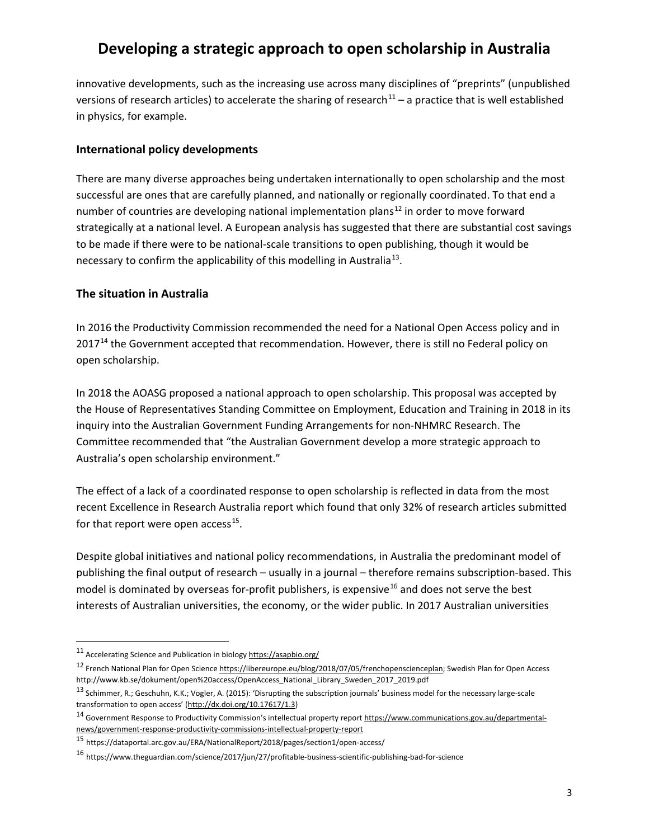innovative developments, such as the increasing use across many disciplines of "preprints" (unpublished versions of research articles) to accelerate the sharing of research $11 - a$  $11 - a$  practice that is well established in physics, for example.

#### **International policy developments**

There are many diverse approaches being undertaken internationally to open scholarship and the most successful are ones that are carefully planned, and nationally or regionally coordinated. To that end a number of countries are developing national implementation plans<sup>[12](#page-2-1)</sup> in order to move forward strategically at a national level. A European analysis has suggested that there are substantial cost savings to be made if there were to be national-scale transitions to open publishing, though it would be necessary to confirm the applicability of this modelling in Australia<sup>13</sup>.

#### **The situation in Australia**

In 2016 the Productivity Commission recommended the need for a National Open Access policy and in 2017<sup>[14](#page-2-3)</sup> the Government accepted that recommendation. However, there is still no Federal policy on open scholarship.

In 2018 the AOASG proposed a national approach to open scholarship. This proposal was accepted by the House of Representatives Standing Committee on Employment, Education and Training in 2018 in its inquiry into the Australian Government Funding Arrangements for non-NHMRC Research. The Committee recommended that "the Australian Government develop a more strategic approach to Australia's open scholarship environment."

The effect of a lack of a coordinated response to open scholarship is reflected in data from the most recent Excellence in Research Australia report which found that only 32% of research articles submitted for that report were open access $^{15}$ .

Despite global initiatives and national policy recommendations, in Australia the predominant model of publishing the final output of research – usually in a journal – therefore remains subscription-based. This model is dominated by overseas for-profit publishers, is expensive<sup>[16](#page-2-5)</sup> and does not serve the best interests of Australian universities, the economy, or the wider public. In 2017 Australian universities

 $\overline{a}$ 

<span id="page-2-0"></span><sup>11</sup> Accelerating Science and Publication in biology<https://asapbio.org/>

<span id="page-2-1"></span><sup>12</sup> French National Plan for Open Science [https://libereurope.eu/blog/2018/07/05/frenchopenscienceplan;](https://libereurope.eu/blog/2018/07/05/frenchopenscienceplan) Swedish Plan for Open Access http://www.kb.se/dokument/open%20access/OpenAccess\_National\_Library\_Sweden\_2017\_2019.pdf

<span id="page-2-2"></span><sup>13</sup> Schimmer, R.; Geschuhn, K.K.; Vogler, A. (2015): 'Disrupting the subscription journals' business model for the necessary large-scale transformation to open access' [\(http://dx.doi.org/10.17617/1.3\)](http://dx.doi.org/10.17617/1.3)

<span id="page-2-3"></span><sup>14</sup> Government Response to Productivity Commission's intellectual property repor[t https://www.communications.gov.au/departmental](https://www.communications.gov.au/departmental-news/government-response-productivity-commissions-intellectual-property-report)[news/government-response-productivity-commissions-intellectual-property-report](https://www.communications.gov.au/departmental-news/government-response-productivity-commissions-intellectual-property-report)

<span id="page-2-4"></span><sup>15</sup> <https://dataportal.arc.gov.au/ERA/NationalReport/2018/pages/section1/open-access/>

<span id="page-2-5"></span><sup>16</sup> https://www.theguardian.com/science/2017/jun/27/profitable-business-scientific-publishing-bad-for-science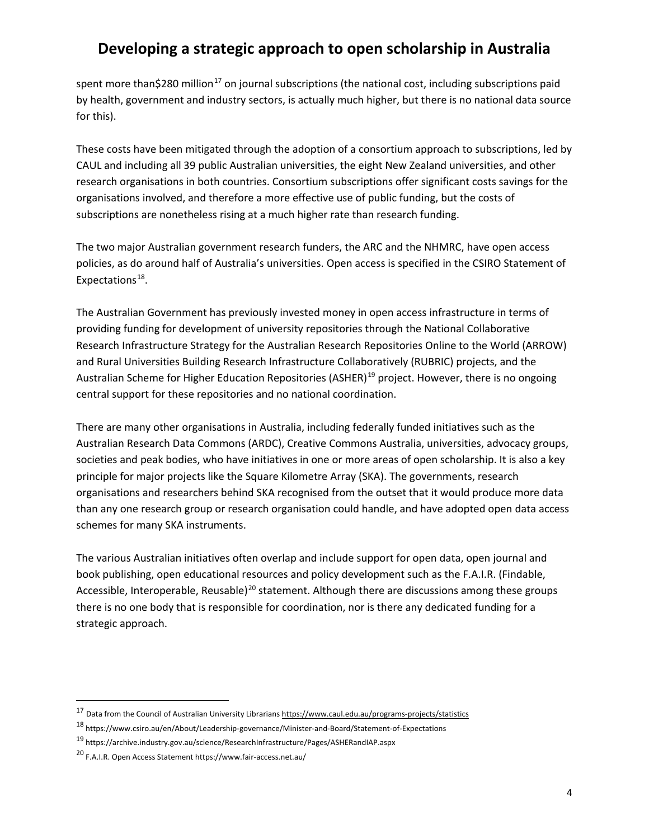spent more than \$280 million<sup>[17](#page-3-0)</sup> on journal subscriptions (the national cost, including subscriptions paid by health, government and industry sectors, is actually much higher, but there is no national data source for this).

These costs have been mitigated through the adoption of a consortium approach to subscriptions, led by CAUL and including all 39 public Australian universities, the eight New Zealand universities, and other research organisations in both countries. Consortium subscriptions offer significant costs savings for the organisations involved, and therefore a more effective use of public funding, but the costs of subscriptions are nonetheless rising at a much higher rate than research funding.

The two major Australian government research funders, the ARC and the NHMRC, have open access policies, as do around half of Australia's universities. Open access is specified in the CSIRO Statement of Expectations<sup>18</sup>.

The Australian Government has previously invested money in open access infrastructure in terms of providing funding for development of university repositories through the National Collaborative Research Infrastructure Strategy for the Australian Research Repositories Online to the World (ARROW) and Rural Universities Building Research Infrastructure Collaboratively (RUBRIC) projects, and the Australian Scheme for Higher Education Repositories (ASHER)<sup>[19](#page-3-2)</sup> project. However, there is no ongoing central support for these repositories and no national coordination.

There are many other organisations in Australia, including federally funded initiatives such as the Australian Research Data Commons (ARDC), Creative Commons Australia, universities, advocacy groups, societies and peak bodies, who have initiatives in one or more areas of open scholarship. It is also a key principle for major projects like the Square Kilometre Array (SKA). The governments, research organisations and researchers behind SKA recognised from the outset that it would produce more data than any one research group or research organisation could handle, and have adopted open data access schemes for many SKA instruments.

The various Australian initiatives often overlap and include support for open data, open journal and book publishing, open educational resources and policy development such as the F.A.I.R. (Findable, Accessible, Interoperable, Reusable)<sup>[20](#page-3-3)</sup> statement. Although there are discussions among these groups there is no one body that is responsible for coordination, nor is there any dedicated funding for a strategic approach.

 $\overline{a}$ 

<span id="page-3-0"></span><sup>17</sup> Data from the Council of Australian University Librarians <https://www.caul.edu.au/programs-projects/statistics>

<span id="page-3-1"></span><sup>18</sup> https://www.csiro.au/en/About/Leadership-governance/Minister-and-Board/Statement-of-Expectations

<span id="page-3-2"></span><sup>19</sup> <https://archive.industry.gov.au/science/ResearchInfrastructure/Pages/ASHERandIAP.aspx>

<span id="page-3-3"></span><sup>20</sup> F.A.I.R. Open Access Statement https://www.fair-access.net.au/